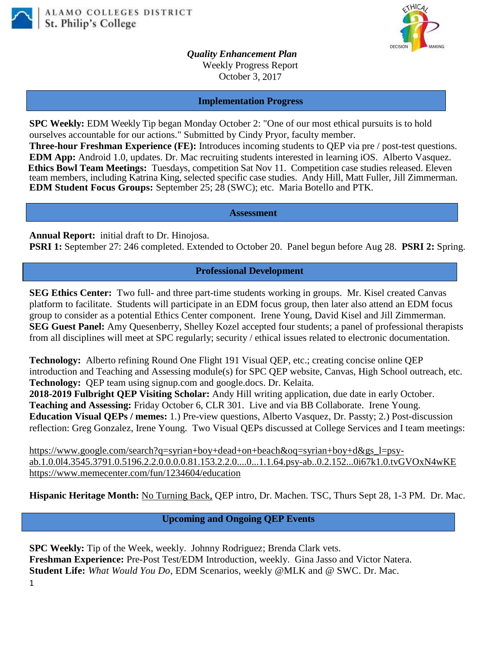



*Quality Enhancement Plan* Weekly Progress Report October 3, 2017

**Implementation Progress**

**SPC Weekly:** EDM Weekly Tip began Monday October 2: "One of our most ethical pursuits is to hold ourselves accountable for our actions." Submitted by Cindy Pryor, faculty member.

**Three-hour Freshman Experience (FE):** Introduces incoming students to QEP via pre / post-test questions. **EDM App:** Android 1.0, updates. Dr. Mac recruiting students interested in learning iOS. Alberto Vasquez. **Ethics Bowl Team Meetings:** Tuesdays, competition Sat Nov 11. Competition case studies released. Eleven team members, including Katrina King, selected specific case studies. Andy Hill, Matt Fuller, Jill Zimmerman. **EDM Student Focus Groups:** September 25; 28 (SWC); etc. Maria Botello and PTK.

**Assessment**

**Annual Report:** initial draft to Dr. Hinojosa. **PSRI 1:** September 27: 246 completed. Extended to October 20. Panel begun before Aug 28. **PSRI 2:** Spring.

## **Professional Development**

**SEG Ethics Center:** Two full- and three part-time students working in groups. Mr. Kisel created Canvas platform to facilitate. Students will participate in an EDM focus group, then later also attend an EDM focus group to consider as a potential Ethics Center component. Irene Young, David Kisel and Jill Zimmerman. **SEG Guest Panel:** Amy Quesenberry, Shelley Kozel accepted four students; a panel of professional therapists from all disciplines will meet at SPC regularly; security / ethical issues related to electronic documentation.

**Technology:** Alberto refining Round One Flight 191 Visual QEP, etc.; creating concise online QEP introduction and Teaching and Assessing module(s) for SPC QEP website, Canvas, High School outreach, etc. **Technology:** QEP team using signup.com and google.docs. Dr. Kelaita.

**2018-2019 Fulbright QEP Visiting Scholar:** Andy Hill writing application, due date in early October. **Teaching and Assessing:** Friday October 6, CLR 301. Live and via BB Collaborate. Irene Young. **Education Visual QEPs / memes:** 1.) Pre-view questions, Alberto Vasquez, Dr. Passty; 2.) Post-discussion reflection: Greg Gonzalez, Irene Young. Two Visual QEPs discussed at College Services and I team meetings:

[https://www.google.com/search?q=syrian+boy+dead+on+beach&oq=syrian+boy+d&gs\\_l=psy](https://www.google.com/search?q=syrian+boy+dead+on+beach&oq=syrian+boy+d&gs_l=psy-ab.1.0.0l4.3545.3791.0.5196.2.2.0.0.0.0.81.153.2.2.0....0...1.1.64.psy-ab..0.2.152...0i67k1.0.tvGVOxN4wKE)[ab.1.0.0l4.3545.3791.0.5196.2.2.0.0.0.0.81.153.2.2.0....0...1.1.64.psy-ab..0.2.152...0i67k1.0.tvGVOxN4wKE](https://www.google.com/search?q=syrian+boy+dead+on+beach&oq=syrian+boy+d&gs_l=psy-ab.1.0.0l4.3545.3791.0.5196.2.2.0.0.0.0.81.153.2.2.0....0...1.1.64.psy-ab..0.2.152...0i67k1.0.tvGVOxN4wKE) <https://www.memecenter.com/fun/1234604/education>

**Hispanic Heritage Month:** No Turning Back, QEP intro, Dr. Machen. TSC, Thurs Sept 28, 1-3 PM. Dr. Mac.

## **Upcoming and Ongoing QEP Events**

1 **SPC Weekly:** Tip of the Week, weekly. Johnny Rodriguez; Brenda Clark vets. **Freshman Experience:** Pre-Post Test/EDM Introduction, weekly. Gina Jasso and Victor Natera. **Student Life:** *What Would You Do*, EDM Scenarios, weekly @MLK and @ SWC. Dr. Mac.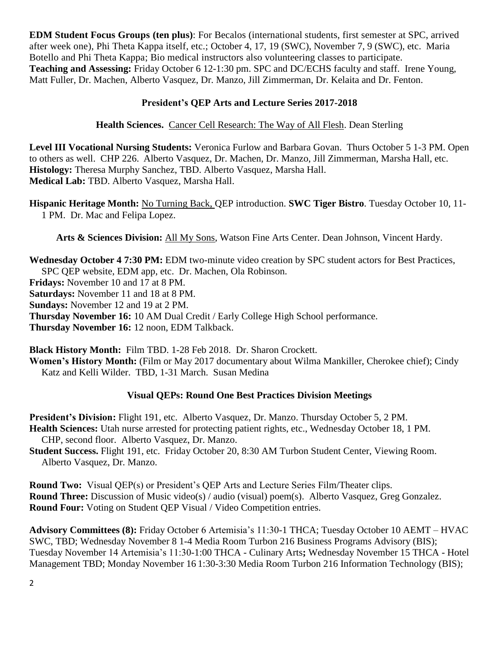**EDM Student Focus Groups (ten plus)**: For Becalos (international students, first semester at SPC, arrived after week one), Phi Theta Kappa itself, etc.; October 4, 17, 19 (SWC), November 7, 9 (SWC), etc. Maria Botello and Phi Theta Kappa; Bio medical instructors also volunteering classes to participate. **Teaching and Assessing:** Friday October 6 12-1:30 pm. SPC and DC/ECHS faculty and staff. Irene Young, Matt Fuller, Dr. Machen, Alberto Vasquez, Dr. Manzo, Jill Zimmerman, Dr. Kelaita and Dr. Fenton.

## **President's QEP Arts and Lecture Series 2017-2018**

**Health Sciences.** Cancer Cell Research: The Way of All Flesh. Dean Sterling

**Level III Vocational Nursing Students:** Veronica Furlow and Barbara Govan. Thurs October 5 1-3 PM. Open to others as well. CHP 226. Alberto Vasquez, Dr. Machen, Dr. Manzo, Jill Zimmerman, Marsha Hall, etc. **Histology:** Theresa Murphy Sanchez, TBD. Alberto Vasquez, Marsha Hall. **Medical Lab:** TBD. Alberto Vasquez, Marsha Hall.

**Hispanic Heritage Month:** No Turning Back, QEP introduction. **SWC Tiger Bistro**. Tuesday October 10, 11- 1 PM. Dr. Mac and Felipa Lopez.

**Arts & Sciences Division:** All My Sons, Watson Fine Arts Center. Dean Johnson, Vincent Hardy.

**Wednesday October 4 7:30 PM:** EDM two-minute video creation by SPC student actors for Best Practices, SPC QEP website, EDM app, etc. Dr. Machen, Ola Robinson.

**Fridays:** November 10 and 17 at 8 PM.

**Saturdays:** November 11 and 18 at 8 PM.

**Sundays:** November 12 and 19 at 2 PM.

**Thursday November 16:** 10 AM Dual Credit / Early College High School performance.

**Thursday November 16:** 12 noon, EDM Talkback.

**Black History Month:** Film TBD. 1-28 Feb 2018. Dr. Sharon Crockett.

**Women's History Month:** (Film or May 2017 documentary about Wilma Mankiller, Cherokee chief); Cindy Katz and Kelli Wilder. TBD, 1-31 March. Susan Medina

## **Visual QEPs: Round One Best Practices Division Meetings**

**President's Division:** Flight 191, etc. Alberto Vasquez, Dr. Manzo. Thursday October 5, 2 PM. **Health Sciences:** Utah nurse arrested for protecting patient rights, etc., Wednesday October 18, 1 PM. CHP, second floor. Alberto Vasquez, Dr. Manzo.

**Student Success.** Flight 191, etc. Friday October 20, 8:30 AM Turbon Student Center, Viewing Room. Alberto Vasquez, Dr. Manzo.

**Round Two:** Visual QEP(s) or President's QEP Arts and Lecture Series Film/Theater clips. **Round Three:** Discussion of Music video(s) / audio (visual) poem(s). Alberto Vasquez, Greg Gonzalez. **Round Four:** Voting on Student QEP Visual / Video Competition entries.

**Advisory Committees (8):** Friday October 6 Artemisia's 11:30-1 THCA; Tuesday October 10 AEMT – HVAC SWC, TBD; Wednesday November 8 1-4 Media Room Turbon 216 Business Programs Advisory (BIS); Tuesday November 14 Artemisia's 11:30-1:00 THCA - Culinary Arts**;** Wednesday November 15 THCA - Hotel Management TBD; Monday November 16 1:30-3:30 Media Room Turbon 216 Information Technology (BIS);